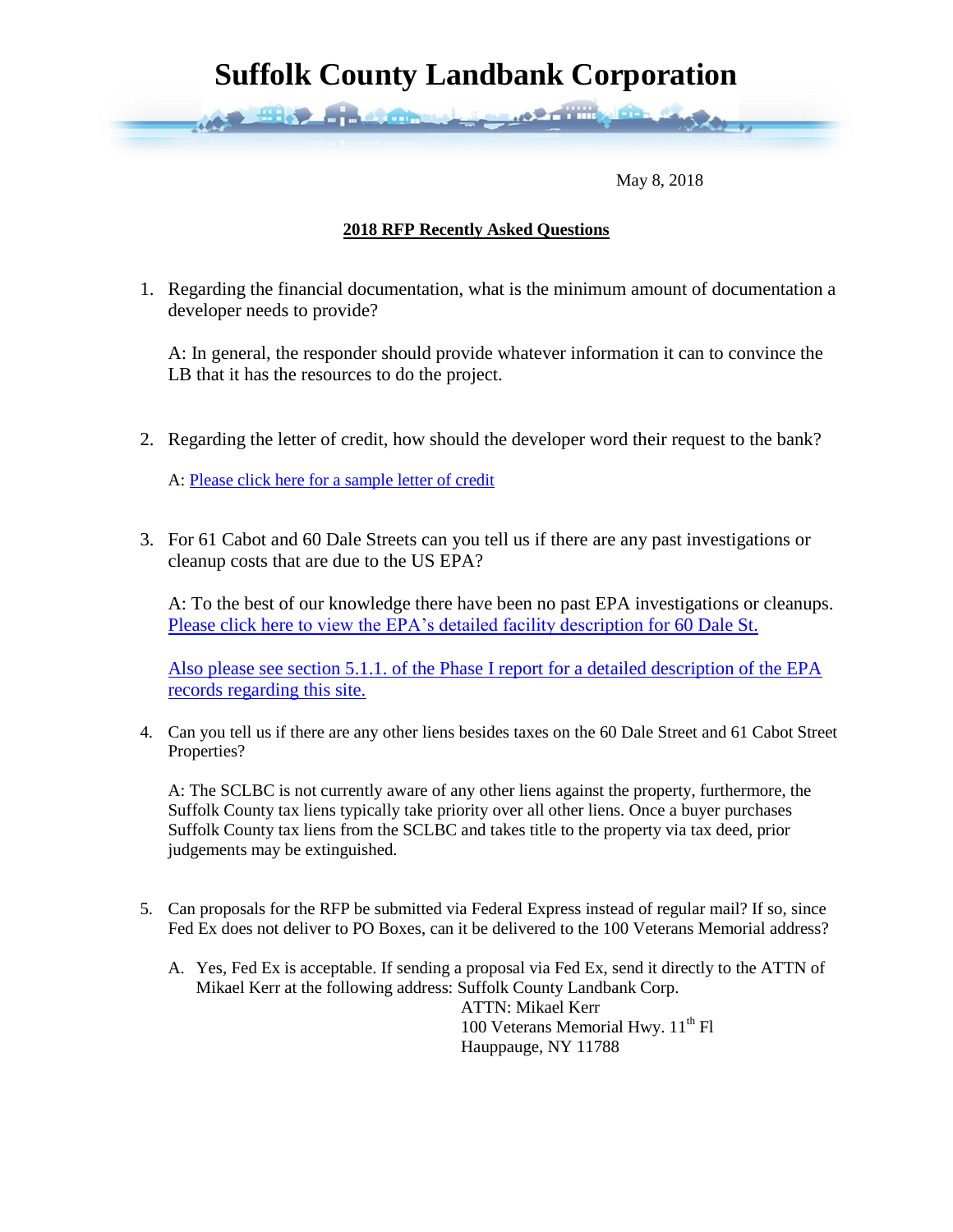## **Suffolk County Landbank Corporation**

May 8, 2018

## **2018 RFP Recently Asked Questions**

1. Regarding the financial documentation, what is the minimum amount of documentation a developer needs to provide?

A: In general, the responder should provide whatever information it can to convince the LB that it has the resources to do the project.

2. Regarding the letter of credit, how should the developer word their request to the bank?

A: [Please click here for a sample letter of credit](https://www.dropbox.com/s/7rguasq59rv3m33/LOC%20sample.pdf?dl=0)

**AND HIS PLASTIC** 

3. For 61 Cabot and 60 Dale Streets can you tell us if there are any past investigations or cleanup costs that are due to the US EPA?

A: To the best of our knowledge there have been no past EPA investigations or cleanups. Please click here [to view the EPA's detailed facility description for 60 Dale St.](https://echo.epa.gov/detailed-facility-report?fid=110004362038)

[Also please see section 5.1.1. of the Phase I report for a detailed description of the EPA](https://www.dropbox.com/s/h97k3ahrfu7lg6o/LIMPHIESACABOTANDDALE.pdf?dl=0)  [records regarding this site.](https://www.dropbox.com/s/h97k3ahrfu7lg6o/LIMPHIESACABOTANDDALE.pdf?dl=0)

4. Can you tell us if there are any other liens besides taxes on the 60 Dale Street and 61 Cabot Street Properties?

A: The SCLBC is not currently aware of any other liens against the property, furthermore, the Suffolk County tax liens typically take priority over all other liens. Once a buyer purchases Suffolk County tax liens from the SCLBC and takes title to the property via tax deed, prior judgements may be extinguished.

- 5. Can proposals for the RFP be submitted via Federal Express instead of regular mail? If so, since Fed Ex does not deliver to PO Boxes, can it be delivered to the 100 Veterans Memorial address?
	- A. Yes, Fed Ex is acceptable. If sending a proposal via Fed Ex, send it directly to the ATTN of Mikael Kerr at the following address: Suffolk County Landbank Corp.

 ATTN: Mikael Kerr 100 Veterans Memorial Hwy.  $11<sup>th</sup>$  Fl Hauppauge, NY 11788